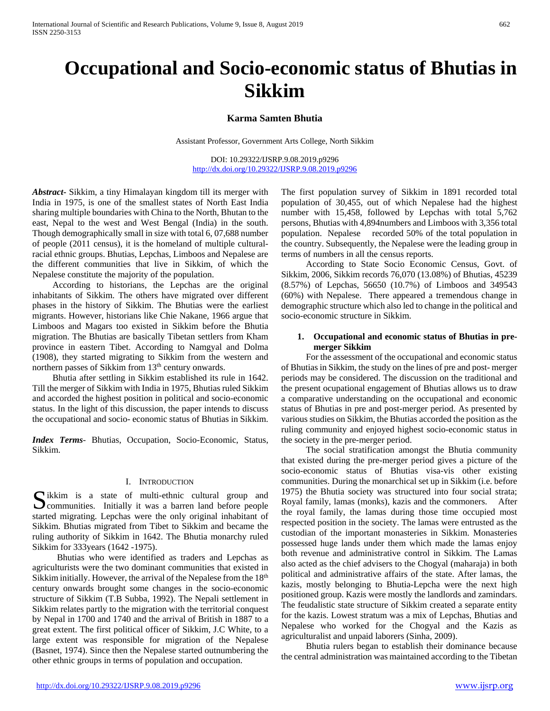# **Occupational and Socio-economic status of Bhutias in Sikkim**

#### **Karma Samten Bhutia**

Assistant Professor, Government Arts College, North Sikkim

DOI: 10.29322/IJSRP.9.08.2019.p9296 <http://dx.doi.org/10.29322/IJSRP.9.08.2019.p9296>

*Abstract***-** Sikkim, a tiny Himalayan kingdom till its merger with India in 1975, is one of the smallest states of North East India sharing multiple boundaries with China to the North, Bhutan to the east, Nepal to the west and West Bengal (India) in the south. Though demographically small in size with total 6, 07,688 number of people (2011 census), it is the homeland of multiple culturalracial ethnic groups. Bhutias, Lepchas, Limboos and Nepalese are the different communities that live in Sikkim, of which the Nepalese constitute the majority of the population.

 According to historians, the Lepchas are the original inhabitants of Sikkim. The others have migrated over different phases in the history of Sikkim. The Bhutias were the earliest migrants. However, historians like Chie Nakane, 1966 argue that Limboos and Magars too existed in Sikkim before the Bhutia migration. The Bhutias are basically Tibetan settlers from Kham province in eastern Tibet. According to Namgyal and Dolma (1908), they started migrating to Sikkim from the western and northern passes of Sikkim from 13<sup>th</sup> century onwards.

 Bhutia after settling in Sikkim established its rule in 1642. Till the merger of Sikkim with India in 1975, Bhutias ruled Sikkim and accorded the highest position in political and socio-economic status. In the light of this discussion, the paper intends to discuss the occupational and socio- economic status of Bhutias in Sikkim.

*Index Terms*- Bhutias, Occupation, Socio-Economic, Status, Sikkim.

#### I. INTRODUCTION

 $\bigcap$  ikkim is a state of multi-ethnic cultural group and Sikkim is a state of multi-ethnic cultural group and communities. Initially it was a barren land before people started migrating. Lepchas were the only original inhabitant of Sikkim. Bhutias migrated from Tibet to Sikkim and became the ruling authority of Sikkim in 1642. The Bhutia monarchy ruled Sikkim for 333years (1642 -1975).

 Bhutias who were identified as traders and Lepchas as agriculturists were the two dominant communities that existed in Sikkim initially. However, the arrival of the Nepalese from the  $18<sup>th</sup>$ century onwards brought some changes in the socio-economic structure of Sikkim (T.B Subba, 1992). The Nepali settlement in Sikkim relates partly to the migration with the territorial conquest by Nepal in 1700 and 1740 and the arrival of British in 1887 to a great extent. The first political officer of Sikkim, J.C White, to a large extent was responsible for migration of the Nepalese (Basnet, 1974). Since then the Nepalese started outnumbering the other ethnic groups in terms of population and occupation.

The first population survey of Sikkim in 1891 recorded total population of 30,455, out of which Nepalese had the highest number with 15,458, followed by Lepchas with total 5,762 persons, Bhutias with 4,894numbers and Limboos with 3,356 total population. Nepalese recorded 50% of the total population in the country. Subsequently, the Nepalese were the leading group in terms of numbers in all the census reports.

 According to State Socio Economic Census, Govt. of Sikkim, 2006, Sikkim records 76,070 (13.08%) of Bhutias, 45239 (8.57%) of Lepchas, 56650 (10.7%) of Limboos and 349543 (60%) with Nepalese. There appeared a tremendous change in demographic structure which also led to change in the political and socio-economic structure in Sikkim.

#### **1. Occupational and economic status of Bhutias in premerger Sikkim**

 For the assessment of the occupational and economic status of Bhutias in Sikkim, the study on the lines of pre and post- merger periods may be considered. The discussion on the traditional and the present ocupational engagement of Bhutias allows us to draw a comparative understanding on the occupational and economic status of Bhutias in pre and post-merger period. As presented by various studies on Sikkim, the Bhutias accorded the position as the ruling community and enjoyed highest socio-economic status in the society in the pre-merger period.

 The social stratification amongst the Bhutia community that existed during the pre-merger period gives a picture of the socio-economic status of Bhutias visa-vis other existing communities. During the monarchical set up in Sikkim (i.e. before 1975) the Bhutia society was structured into four social strata; Royal family, lamas (monks), kazis and the commoners. After the royal family, the lamas during those time occupied most respected position in the society. The lamas were entrusted as the custodian of the important monasteries in Sikkim. Monasteries possessed huge lands under them which made the lamas enjoy both revenue and administrative control in Sikkim. The Lamas also acted as the chief advisers to the Chogyal (maharaja) in both political and administrative affairs of the state. After lamas, the kazis, mostly belonging to Bhutia-Lepcha were the next high positioned group. Kazis were mostly the landlords and zamindars. The feudalistic state structure of Sikkim created a separate entity for the kazis. Lowest stratum was a mix of Lepchas, Bhutias and Nepalese who worked for the Chogyal and the Kazis as agriculturalist and unpaid laborers (Sinha, 2009).

 Bhutia rulers began to establish their dominance because the central administration was maintained according to the Tibetan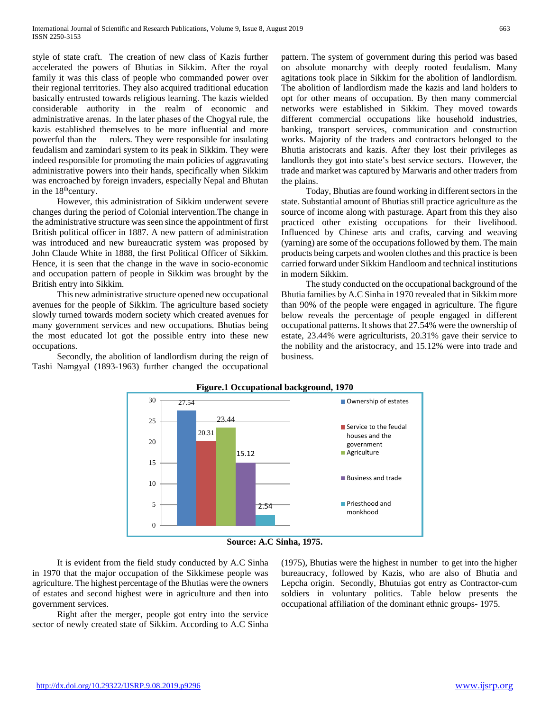style of state craft. The creation of new class of Kazis further accelerated the powers of Bhutias in Sikkim. After the royal family it was this class of people who commanded power over their regional territories. They also acquired traditional education basically entrusted towards religious learning. The kazis wielded considerable authority in the realm of economic and administrative arenas. In the later phases of the Chogyal rule, the kazis established themselves to be more influential and more powerful than the rulers. They were responsible for insulating feudalism and zamindari system to its peak in Sikkim. They were indeed responsible for promoting the main policies of aggravating administrative powers into their hands, specifically when Sikkim was encroached by foreign invaders, especially Nepal and Bhutan in the  $18<sup>th</sup>$ century.

 However, this administration of Sikkim underwent severe changes during the period of Colonial intervention.The change in the administrative structure was seen since the appointment of first British political officer in 1887. A new pattern of administration was introduced and new bureaucratic system was proposed by John Claude White in 1888, the first Political Officer of Sikkim. Hence, it is seen that the change in the wave in socio-economic and occupation pattern of people in Sikkim was brought by the British entry into Sikkim.

 This new administrative structure opened new occupational avenues for the people of Sikkim. The agriculture based society slowly turned towards modern society which created avenues for many government services and new occupations. Bhutias being the most educated lot got the possible entry into these new occupations.

 Secondly, the abolition of landlordism during the reign of Tashi Namgyal (1893-1963) further changed the occupational pattern. The system of government during this period was based on absolute monarchy with deeply rooted feudalism. Many agitations took place in Sikkim for the abolition of landlordism. The abolition of landlordism made the kazis and land holders to opt for other means of occupation. By then many commercial networks were established in Sikkim. They moved towards different commercial occupations like household industries, banking, transport services, communication and construction works. Majority of the traders and contractors belonged to the Bhutia aristocrats and kazis. After they lost their privileges as landlords they got into state's best service sectors. However, the trade and market was captured by Marwaris and other traders from the plains.

 Today, Bhutias are found working in different sectors in the state. Substantial amount of Bhutias still practice agriculture as the source of income along with pasturage. Apart from this they also practiced other existing occupations for their livelihood. Influenced by Chinese arts and crafts, carving and weaving (yarning) are some of the occupations followed by them. The main products being carpets and woolen clothes and this practice is been carried forward under Sikkim Handloom and technical institutions in modern Sikkim.

 The study conducted on the occupational background of the Bhutia families by A.C Sinha in 1970 revealed that in Sikkim more than 90% of the people were engaged in agriculture. The figure below reveals the percentage of people engaged in different occupational patterns. It shows that 27.54% were the ownership of estate, 23.44% were agriculturists, 20.31% gave their service to the nobility and the aristocracy, and 15.12% were into trade and business.



**Source: A.C Sinha, 1975.**

 It is evident from the field study conducted by A.C Sinha in 1970 that the major occupation of the Sikkimese people was agriculture. The highest percentage of the Bhutias were the owners of estates and second highest were in agriculture and then into government services.

 Right after the merger, people got entry into the service sector of newly created state of Sikkim. According to A.C Sinha (1975), Bhutias were the highest in number to get into the higher bureaucracy, followed by Kazis, who are also of Bhutia and Lepcha origin. Secondly, Bhutuias got entry as Contractor-cum soldiers in voluntary politics. Table below presents the occupational affiliation of the dominant ethnic groups- 1975.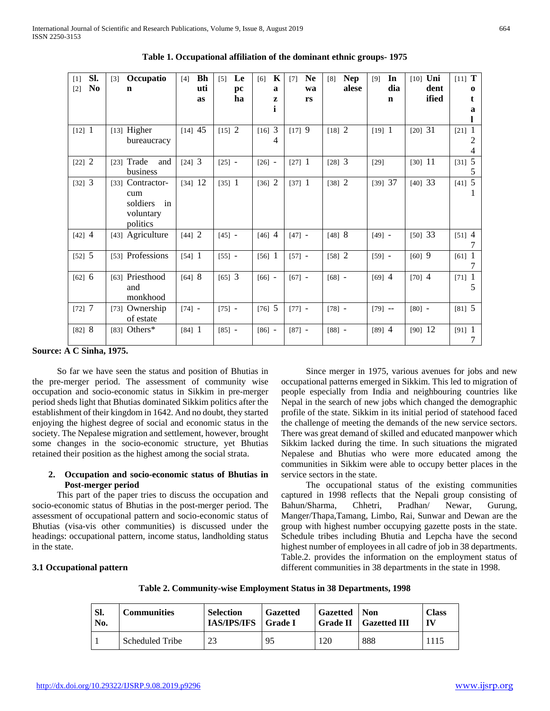| SI.<br>$[1]$            | Occupatio<br>[3]    | Bh<br>[4] | Le<br>[5] | K<br>[6]    | <b>Ne</b><br>[7] | <b>Nep</b><br>[8] | In<br>[9]   | $[10]$ Uni | $[11]$ T       |
|-------------------------|---------------------|-----------|-----------|-------------|------------------|-------------------|-------------|------------|----------------|
| N <sub>0</sub><br>$[2]$ | n                   | uti       | pc        | $\mathbf a$ | wa               | alese             | dia         | dent       | 0              |
|                         |                     | as        | ha        | Z           | rs               |                   | $\mathbf n$ | ified      | t.             |
|                         |                     |           |           | i           |                  |                   |             |            | a              |
|                         |                     |           |           |             |                  |                   |             |            |                |
| $[12]$ 1                | [13] Higher         | $[14]$ 45 | [15] 2    | 3<br>[16]   | [17] 9           | [18] 2            | $[19]$ 1    | [20] 31    | -1<br>[21]     |
|                         | bureaucracy         |           |           | 4           |                  |                   |             |            | 2              |
|                         |                     |           |           |             |                  |                   |             |            | $\overline{4}$ |
| [22] 2                  | [23] Trade<br>and   | $[24]$ 3  | $[25]$ -  | $[26] -$    | $[27]$ 1         | $[28]$ 3          | $[29]$      | $[30]$ 11  | 5<br>$[31]$    |
|                         | business            |           |           |             |                  |                   |             |            | 5              |
| [32] 3                  | Contractor-<br>[33] | $[34]$ 12 | $[35]$ 1  | $[36]$ 2    | $[37]$ 1         | [38] 2            | [39] 37     | [40] 33    | [41] 5         |
|                         | cum                 |           |           |             |                  |                   |             |            |                |
|                         | soldiers<br>in      |           |           |             |                  |                   |             |            |                |
|                         | voluntary           |           |           |             |                  |                   |             |            |                |
|                         | politics            |           |           |             |                  |                   |             |            |                |
| $[42]$ 4                | [43] Agriculture    | [44] 2    | $[45] -$  | $[46]$ 4    | $[47] -$         | [48] 8            | $[49] -$    | [50] 33    | $[51]$ 4       |
|                         |                     |           |           |             |                  |                   |             |            | 7              |
| [52] 5                  | [53] Professions    | $[54]$ 1  | $[55]$ -  | $[56]$ 1    | $[57] -$         | [58] 2            | $[59] -$    | $[60]$ 9   | $[61]$ 1       |
|                         |                     |           |           |             |                  |                   |             |            |                |
| [62] 6                  | [63] Priesthood     | [64] 8    | $[65]$ 3  | $[66] -$    | $[67] -$         | $[68] -$          | $[69]$ 4    | $[70]$ 4   | $[71]$ 1       |
|                         | and                 |           |           |             |                  |                   |             |            | 5              |
|                         | monkhood            |           |           |             |                  |                   |             |            |                |
| [72] 7                  | [73] Ownership      | $[74] -$  | $[75] -$  | [76] 5      | $[77] -$         | $[78] -$          | $[79]$ --   | $[80] -$   | [81] 5         |
|                         | of estate           |           |           |             |                  |                   |             |            |                |
| [82] 8                  | [83] Others $*$     | $[84]$ 1  | $[85] -$  | $[86] -$    | $[87] -$         | $[88] -$          | $[89]$ 4    | $[90]$ 12  | $[91]$ 1       |
|                         |                     |           |           |             |                  |                   |             |            |                |

**Table 1. Occupational affiliation of the dominant ethnic groups- 1975**

**Source: A C Sinha, 1975.**

 So far we have seen the status and position of Bhutias in the pre-merger period. The assessment of community wise occupation and socio-economic status in Sikkim in pre-merger period sheds light that Bhutias dominated Sikkim politics after the establishment of their kingdom in 1642. And no doubt, they started enjoying the highest degree of social and economic status in the society. The Nepalese migration and settlement, however, brought some changes in the socio-economic structure, yet Bhutias retained their position as the highest among the social strata.

## **2. Occupation and socio-economic status of Bhutias in Post-merger period**

 This part of the paper tries to discuss the occupation and socio-economic status of Bhutias in the post-merger period. The assessment of occupational pattern and socio-economic status of Bhutias (visa-vis other communities) is discussed under the headings: occupational pattern, income status, landholding status in the state.

 Since merger in 1975, various avenues for jobs and new occupational patterns emerged in Sikkim. This led to migration of people especially from India and neighbouring countries like Nepal in the search of new jobs which changed the demographic profile of the state. Sikkim in its initial period of statehood faced the challenge of meeting the demands of the new service sectors. There was great demand of skilled and educated manpower which Sikkim lacked during the time. In such situations the migrated Nepalese and Bhutias who were more educated among the communities in Sikkim were able to occupy better places in the service sectors in the state.

 The occupational status of the existing communities captured in 1998 reflects that the Nepali group consisting of Bahun/Sharma, Chhetri, Pradhan/ Newar, Gurung, Manger/Thapa,Tamang, Limbo, Rai, Sunwar and Dewan are the group with highest number occupying gazette posts in the state. Schedule tribes including Bhutia and Lepcha have the second highest number of employees in all cadre of job in 38 departments. Table.2. provides the information on the employment status of different communities in 38 departments in the state in 1998.

#### **3.1 Occupational pattern**

|  |  | Table 2. Community-wise Employment Status in 38 Departments, 1998 |  |
|--|--|-------------------------------------------------------------------|--|
|  |  |                                                                   |  |

| SI.<br>No. | <b>Communities</b> | <b>Selection</b><br><b>IAS/IPS/IFS</b> | <b>Gazetted</b><br>  Grade I | <b>Gazetted</b>   Non | <b>Grade II</b> Gazetted III | <b>Class</b> |
|------------|--------------------|----------------------------------------|------------------------------|-----------------------|------------------------------|--------------|
|            | Scheduled Tribe    | 23                                     | 95                           | 20                    | 888                          | 1115         |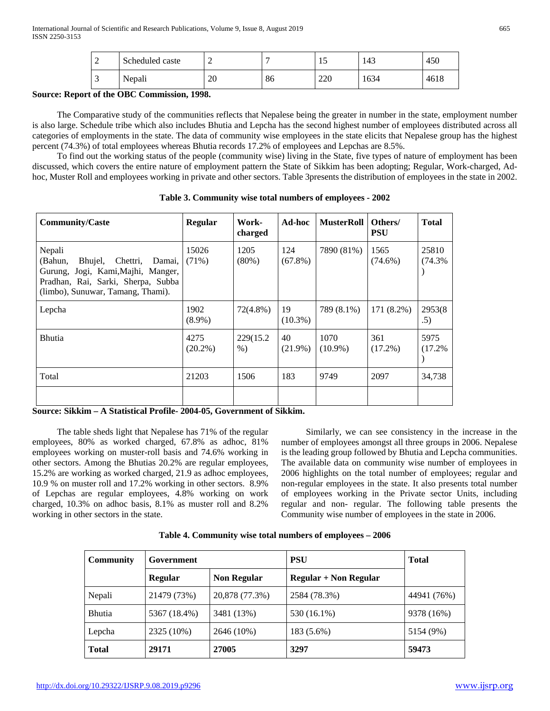|   | Scheduled caste | -        |    | ⊥ J | 143  | 450  |
|---|-----------------|----------|----|-----|------|------|
| - | Nepali          | റ∩<br>ZU | 86 | 220 | 1634 | 4618 |

## **Source: Report of the OBC Commission, 1998.**

 The Comparative study of the communities reflects that Nepalese being the greater in number in the state, employment number is also large. Schedule tribe which also includes Bhutia and Lepcha has the second highest number of employees distributed across all categories of employments in the state. The data of community wise employees in the state elicits that Nepalese group has the highest percent (74.3%) of total employees whereas Bhutia records 17.2% of employees and Lepchas are 8.5%.

 To find out the working status of the people (community wise) living in the State, five types of nature of employment has been discussed, which covers the entire nature of employment pattern the State of Sikkim has been adopting; Regular, Work-charged, Adhoc, Muster Roll and employees working in private and other sectors. Table 3presents the distribution of employees in the state in 2002.

| <b>Community/Caste</b>                                                                                                                                              | <b>Regular</b>     | Work-<br>charged   | Ad-hoc            | <b>MusterRoll</b>  | Others/<br><b>PSU</b> | <b>Total</b>    |
|---------------------------------------------------------------------------------------------------------------------------------------------------------------------|--------------------|--------------------|-------------------|--------------------|-----------------------|-----------------|
| Nepali<br>(Bahun,<br>Bhujel,<br>Chettri,<br>Damai,<br>Gurung, Jogi, Kami, Majhi, Manger,<br>Pradhan, Rai, Sarki, Sherpa, Subba<br>(limbo), Sunuwar, Tamang, Thami). | 15026<br>$(71\%)$  | 1205<br>(80%)      | 124<br>$(67.8\%)$ | 7890 (81%)         | 1565<br>$(74.6\%)$    | 25810<br>(74.3% |
| Lepcha                                                                                                                                                              | 1902<br>$(8.9\%)$  | $72(4.8\%)$        | 19<br>$(10.3\%)$  | 789 (8.1%)         | 171 (8.2%)            | 2953(8)<br>.5)  |
| <b>Bhutia</b>                                                                                                                                                       | 4275<br>$(20.2\%)$ | 229(15.2)<br>$%$ ) | 40<br>$(21.9\%)$  | 1070<br>$(10.9\%)$ | 361<br>$(17.2\%)$     | 5975<br>(17.2%  |
| Total                                                                                                                                                               | 21203              | 1506               | 183               | 9749               | 2097                  | 34,738          |
|                                                                                                                                                                     |                    |                    |                   |                    |                       |                 |

**Table 3. Community wise total numbers of employees - 2002**

**Source: Sikkim – A Statistical Profile- 2004-05, Government of Sikkim.**

 The table sheds light that Nepalese has 71% of the regular employees, 80% as worked charged, 67.8% as adhoc, 81% employees working on muster-roll basis and 74.6% working in other sectors. Among the Bhutias 20.2% are regular employees, 15.2% are working as worked charged, 21.9 as adhoc employees, 10.9 % on muster roll and 17.2% working in other sectors. 8.9% of Lepchas are regular employees, 4.8% working on work charged, 10.3% on adhoc basis, 8.1% as muster roll and 8.2% working in other sectors in the state.

 Similarly, we can see consistency in the increase in the number of employees amongst all three groups in 2006. Nepalese is the leading group followed by Bhutia and Lepcha communities. The available data on community wise number of employees in 2006 highlights on the total number of employees; regular and non-regular employees in the state. It also presents total number of employees working in the Private sector Units, including regular and non- regular. The following table presents the Community wise number of employees in the state in 2006.

|  |  |  |  | Table 4. Community wise total numbers of employees - 2006 |
|--|--|--|--|-----------------------------------------------------------|
|--|--|--|--|-----------------------------------------------------------|

| <b>Community</b> | Government     |                    | <b>PSU</b>              | <b>Total</b> |
|------------------|----------------|--------------------|-------------------------|--------------|
|                  | <b>Regular</b> | <b>Non Regular</b> | $Regular + Non Regular$ |              |
| Nepali           | 21479 (73%)    | 20,878 (77.3%)     | 2584 (78.3%)            | 44941 (76%)  |
| <b>Bhutia</b>    | 5367 (18.4%)   | 3481 (13%)         | 530 (16.1%)             | 9378 (16%)   |
| Lepcha           | 2325 (10%)     | 2646 (10%)         | 183 (5.6%)              | 5154 (9%)    |
| <b>Total</b>     | 29171          | 27005              | 3297                    | 59473        |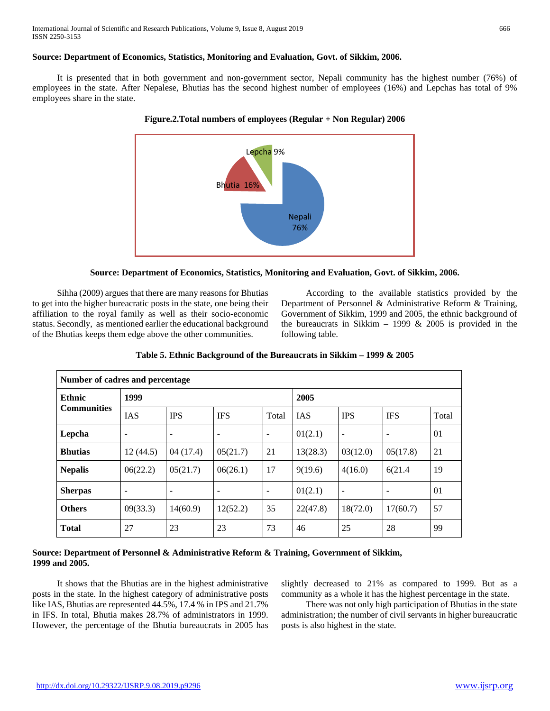## **Source: Department of Economics, Statistics, Monitoring and Evaluation, Govt. of Sikkim, 2006.**

 It is presented that in both government and non-government sector, Nepali community has the highest number (76%) of employees in the state. After Nepalese, Bhutias has the second highest number of employees (16%) and Lepchas has total of 9% employees share in the state.







 Sihha (2009) argues that there are many reasons for Bhutias to get into the higher bureacratic posts in the state, one being their affiliation to the royal family as well as their socio-economic status. Secondly, as mentioned earlier the educational background of the Bhutias keeps them edge above the other communities.

 According to the available statistics provided by the Department of Personnel & Administrative Reform & Training, Government of Sikkim, 1999 and 2005, the ethnic background of the bureaucrats in Sikkim – 1999  $& 2005$  is provided in the following table.

| Number of cadres and percentage |            |                          |                          |                          |            |                          |            |       |
|---------------------------------|------------|--------------------------|--------------------------|--------------------------|------------|--------------------------|------------|-------|
| <b>Ethnic</b>                   | 1999       |                          |                          |                          | 2005       |                          |            |       |
| <b>Communities</b>              | <b>IAS</b> | <b>IPS</b>               | <b>IFS</b>               | Total                    | <b>IAS</b> | <b>IPS</b>               | <b>IFS</b> | Total |
| Lepcha                          | ۰          | $\overline{\phantom{a}}$ | -                        | -                        | 01(2.1)    | $\overline{\phantom{a}}$ |            | 01    |
| <b>Bhutias</b>                  | 12(44.5)   | 04(17.4)                 | 05(21.7)                 | 21                       | 13(28.3)   | 03(12.0)                 | 05(17.8)   | 21    |
| <b>Nepalis</b>                  | 06(22.2)   | 05(21.7)                 | 06(26.1)                 | 17                       | 9(19.6)    | 4(16.0)                  | 6(21.4)    | 19    |
| <b>Sherpas</b>                  | ۰          | $\overline{\phantom{a}}$ | $\overline{\phantom{a}}$ | $\overline{\phantom{a}}$ | 01(2.1)    | ۰                        |            | 01    |
| <b>Others</b>                   | 09(33.3)   | 14(60.9)                 | 12(52.2)                 | 35                       | 22(47.8)   | 18(72.0)                 | 17(60.7)   | 57    |
| <b>Total</b>                    | 27         | 23                       | 23                       | 73                       | 46         | 25                       | 28         | 99    |

**Table 5. Ethnic Background of the Bureaucrats in Sikkim – 1999 & 2005**

## **Source: Department of Personnel & Administrative Reform & Training, Government of Sikkim, 1999 and 2005.**

 It shows that the Bhutias are in the highest administrative posts in the state. In the highest category of administrative posts like IAS, Bhutias are represented 44.5%, 17.4 % in IPS and 21.7% in IFS. In total, Bhutia makes 28.7% of administrators in 1999. However, the percentage of the Bhutia bureaucrats in 2005 has slightly decreased to 21% as compared to 1999. But as a community as a whole it has the highest percentage in the state.

 There was not only high participation of Bhutias in the state administration; the number of civil servants in higher bureaucratic posts is also highest in the state.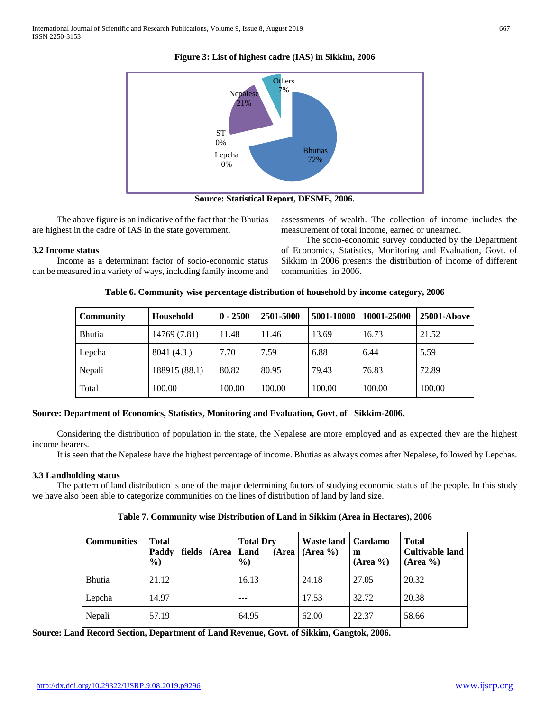# **Figure 3: List of highest cadre (IAS) in Sikkim, 2006**



**Source: Statistical Report, DESME, 2006.**

 The above figure is an indicative of the fact that the Bhutias are highest in the cadre of IAS in the state government.

## **3.2 Income status**

 Income as a determinant factor of socio-economic status can be measured in a variety of ways, including family income and assessments of wealth. The collection of income includes the measurement of total income, earned or unearned.

 The socio-economic survey conducted by the Department of Economics, Statistics, Monitoring and Evaluation, Govt. of Sikkim in 2006 presents the distribution of income of different communities in 2006.

| Table 6. Community wise percentage distribution of household by income category, 2006 |  |  |
|---------------------------------------------------------------------------------------|--|--|
|---------------------------------------------------------------------------------------|--|--|

| <b>Community</b> | Household     | $0 - 2500$ | 2501-5000 | 5001-10000 | 10001-25000 | 25001-Above |
|------------------|---------------|------------|-----------|------------|-------------|-------------|
| <b>Bhutia</b>    | 14769 (7.81)  | 11.48      | 11.46     | 13.69      | 16.73       | 21.52       |
| Lepcha           | 8041 (4.3)    | 7.70       | 7.59      | 6.88       | 6.44        | 5.59        |
| Nepali           | 188915 (88.1) | 80.82      | 80.95     | 79.43      | 76.83       | 72.89       |
| Total            | 100.00        | 100.00     | 100.00    | 100.00     | 100.00      | 100.00      |

# **Source: Department of Economics, Statistics, Monitoring and Evaluation, Govt. of Sikkim-2006.**

 Considering the distribution of population in the state, the Nepalese are more employed and as expected they are the highest income bearers.

It is seen that the Nepalese have the highest percentage of income. Bhutias as always comes after Nepalese, followed by Lepchas.

#### **3.3 Landholding status**

 The pattern of land distribution is one of the major determining factors of studying economic status of the people. In this study we have also been able to categorize communities on the lines of distribution of land by land size.

|  |  |  |  |  |  | Table 7. Community wise Distribution of Land in Sikkim (Area in Hectares), 2006 |
|--|--|--|--|--|--|---------------------------------------------------------------------------------|
|--|--|--|--|--|--|---------------------------------------------------------------------------------|

| <b>Communities</b> | <b>Total</b><br>fields (Area   Land<br>Paddy<br>$\%$ | <b>Total Dry</b><br>(Area<br>$\%$ | Waste land   Cardamo<br>$(Area \%)$ | m<br>(Area %) | <b>Total</b><br><b>Cultivable land</b><br>$(Area \%)$ |
|--------------------|------------------------------------------------------|-----------------------------------|-------------------------------------|---------------|-------------------------------------------------------|
| <b>Bhutia</b>      | 21.12                                                | 16.13                             | 24.18                               | 27.05         | 20.32                                                 |
| Lepcha             | 14.97                                                |                                   | 17.53                               | 32.72         | 20.38                                                 |
| Nepali             | 57.19                                                | 64.95                             | 62.00                               | 22.37         | 58.66                                                 |

**Source: Land Record Section, Department of Land Revenue, Govt. of Sikkim, Gangtok, 2006.**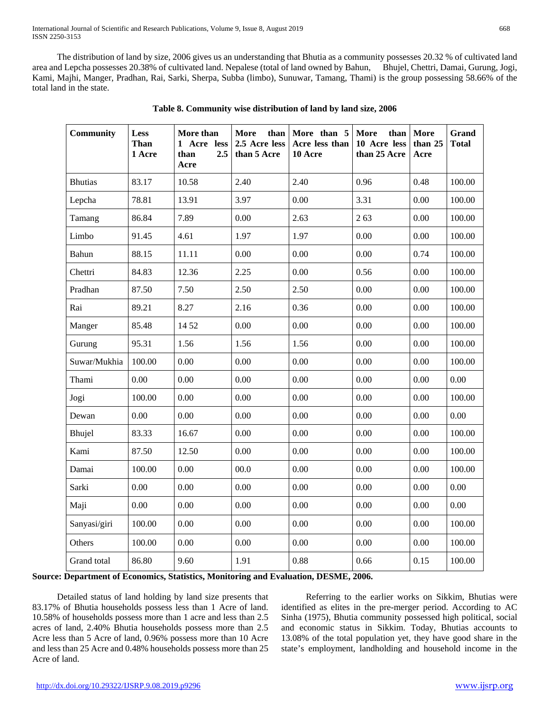The distribution of land by size, 2006 gives us an understanding that Bhutia as a community possesses 20.32 % of cultivated land area and Lepcha possesses 20.38% of cultivated land. Nepalese (total of land owned by Bahun, Bhujel, Chettri, Damai, Gurung, Jogi, Kami, Majhi, Manger, Pradhan, Rai, Sarki, Sherpa, Subba (limbo), Sunuwar, Tamang, Thami) is the group possessing 58.66% of the total land in the state.

| Community      | <b>Less</b><br>Than<br>1 Acre | More than<br>1 Acre less<br>2.5<br>than<br>Acre | More<br>than<br>2.5 Acre less<br>than 5 Acre | More than 5<br>Acre less than<br>10 Acre | More<br>than<br>10 Acre less<br>than 25 Acre | More<br>than 25<br>Acre | Grand<br><b>Total</b> |
|----------------|-------------------------------|-------------------------------------------------|----------------------------------------------|------------------------------------------|----------------------------------------------|-------------------------|-----------------------|
| <b>Bhutias</b> | 83.17                         | 10.58                                           | 2.40                                         | 2.40                                     | 0.96                                         | 0.48                    | 100.00                |
| Lepcha         | 78.81                         | 13.91                                           | 3.97                                         | 0.00                                     | 3.31                                         | 0.00                    | 100.00                |
| Tamang         | 86.84                         | 7.89                                            | 0.00                                         | 2.63                                     | 263                                          | 0.00                    | 100.00                |
| Limbo          | 91.45                         | 4.61                                            | 1.97                                         | 1.97                                     | 0.00                                         | 0.00                    | 100.00                |
| Bahun          | 88.15                         | 11.11                                           | 0.00                                         | 0.00                                     | 0.00                                         | 0.74                    | 100.00                |
| Chettri        | 84.83                         | 12.36                                           | 2.25                                         | 0.00                                     | 0.56                                         | 0.00                    | 100.00                |
| Pradhan        | 87.50                         | 7.50                                            | 2.50                                         | 2.50                                     | 0.00                                         | 0.00                    | 100.00                |
| Rai            | 89.21                         | 8.27                                            | 2.16                                         | 0.36                                     | 0.00                                         | 0.00                    | 100.00                |
| Manger         | 85.48                         | 14 52                                           | 0.00                                         | 0.00                                     | 0.00                                         | 0.00                    | 100.00                |
| Gurung         | 95.31                         | 1.56                                            | 1.56                                         | 1.56                                     | 0.00                                         | 0.00                    | 100.00                |
| Suwar/Mukhia   | 100.00                        | 0.00                                            | 0.00                                         | 0.00                                     | 0.00                                         | 0.00                    | 100.00                |
| Thami          | 0.00                          | 0.00                                            | 0.00                                         | 0.00                                     | 0.00                                         | 0.00                    | 0.00                  |
| Jogi           | 100.00                        | 0.00                                            | 0.00                                         | 0.00                                     | 0.00                                         | 0.00                    | 100.00                |
| Dewan          | 0.00                          | 0.00                                            | 0.00                                         | 0.00                                     | 0.00                                         | 0.00                    | 0.00                  |
| Bhujel         | 83.33                         | 16.67                                           | 0.00                                         | 0.00                                     | 0.00                                         | 0.00                    | 100.00                |
| Kami           | 87.50                         | 12.50                                           | 0.00                                         | 0.00                                     | 0.00                                         | 0.00                    | 100.00                |
| Damai          | 100.00                        | 0.00                                            | 00.0                                         | 0.00                                     | 0.00                                         | 0.00                    | 100.00                |
| Sarki          | 0.00                          | 0.00                                            | 0.00                                         | 0.00                                     | 0.00                                         | 0.00                    | 0.00                  |
| Maji           | 0.00                          | 0.00                                            | 0.00                                         | 0.00                                     | 0.00                                         | 0.00                    | 0.00                  |
| Sanyasi/giri   | 100.00                        | 0.00                                            | 0.00                                         | 0.00                                     | 0.00                                         | 0.00                    | 100.00                |
| Others         | 100.00                        | 0.00                                            | 0.00                                         | 0.00                                     | 0.00                                         | 0.00                    | 100.00                |
| Grand total    | 86.80                         | 9.60                                            | 1.91                                         | 0.88                                     | 0.66                                         | 0.15                    | 100.00                |

|  | Table 8. Community wise distribution of land by land size, 2006 |  |  |
|--|-----------------------------------------------------------------|--|--|
|  |                                                                 |  |  |

#### **Source: Department of Economics, Statistics, Monitoring and Evaluation, DESME, 2006.**

 Detailed status of land holding by land size presents that 83.17% of Bhutia households possess less than 1 Acre of land. 10.58% of households possess more than 1 acre and less than 2.5 acres of land, 2.40% Bhutia households possess more than 2.5 Acre less than 5 Acre of land, 0.96% possess more than 10 Acre and less than 25 Acre and 0.48% households possess more than 25 Acre of land.

 Referring to the earlier works on Sikkim, Bhutias were identified as elites in the pre-merger period. According to AC Sinha (1975), Bhutia community possessed high political, social and economic status in Sikkim. Today, Bhutias accounts to 13.08% of the total population yet, they have good share in the state's employment, landholding and household income in the